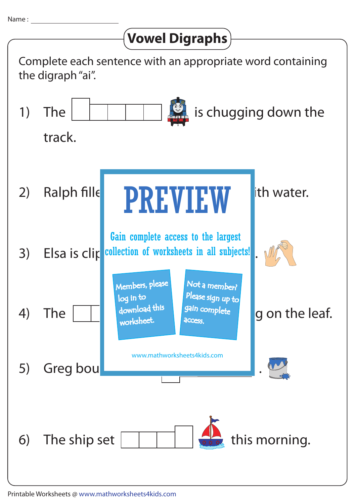